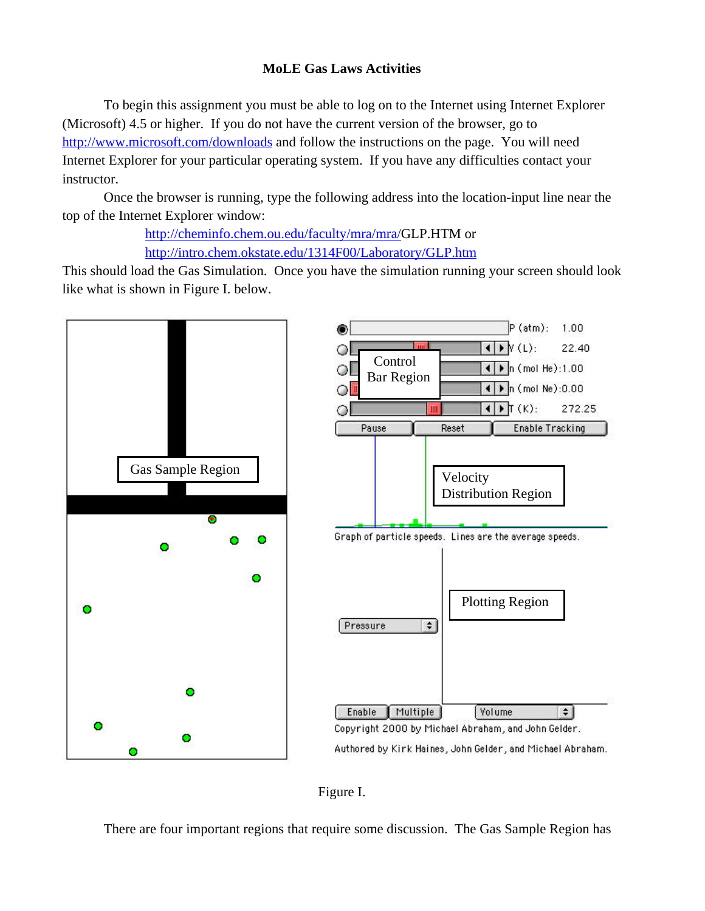#### **MoLE Gas Laws Activities**

To begin this assignment you must be able to log on to the Internet using Internet Explorer (Microsoft) 4.5 or higher. If you do not have the current version of the browser, go to http://www.microsoft.com/downloads and follow the instructions on the page. You will need Internet Explorer for your particular operating system. If you have any difficulties contact your instructor.

Once the browser is running, type the following address into the location-input line near the top of the Internet Explorer window:

> http://cheminfo.chem.ou.edu/faculty/mra/mra/GLP.HTM or http://intro.chem.okstate.edu/1314F00/Laboratory/GLP.htm

This should load the Gas Simulation. Once you have the simulation running your screen should look like what is shown in Figure I. below.





There are four important regions that require some discussion. The Gas Sample Region has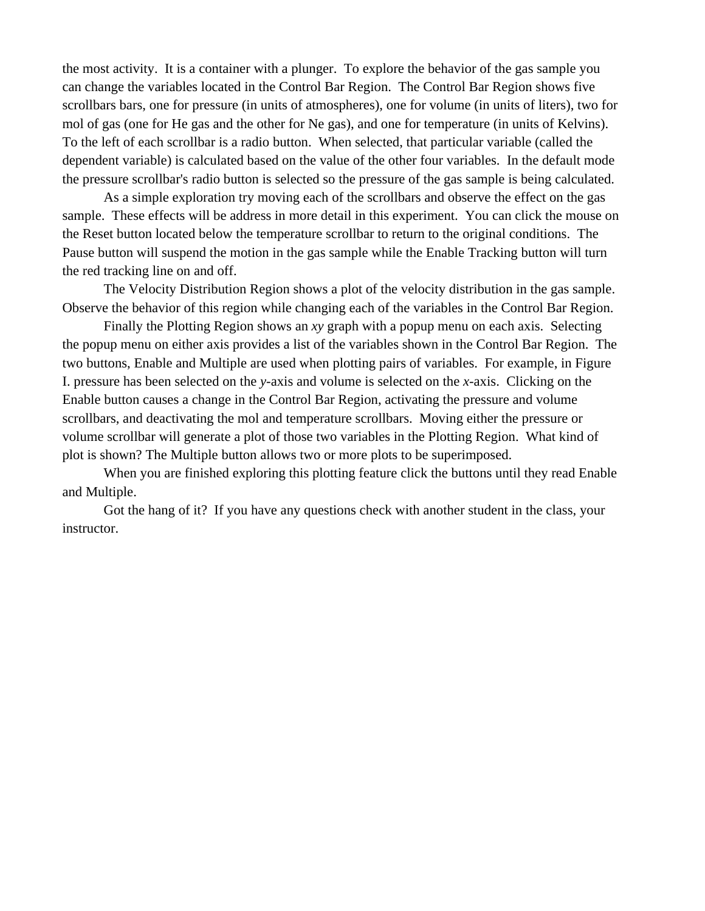the most activity. It is a container with a plunger. To explore the behavior of the gas sample you can change the variables located in the Control Bar Region. The Control Bar Region shows five scrollbars bars, one for pressure (in units of atmospheres), one for volume (in units of liters), two for mol of gas (one for He gas and the other for Ne gas), and one for temperature (in units of Kelvins). To the left of each scrollbar is a radio button. When selected, that particular variable (called the dependent variable) is calculated based on the value of the other four variables. In the default mode the pressure scrollbar's radio button is selected so the pressure of the gas sample is being calculated.

As a simple exploration try moving each of the scrollbars and observe the effect on the gas sample. These effects will be address in more detail in this experiment. You can click the mouse on the Reset button located below the temperature scrollbar to return to the original conditions. The Pause button will suspend the motion in the gas sample while the Enable Tracking button will turn the red tracking line on and off.

The Velocity Distribution Region shows a plot of the velocity distribution in the gas sample. Observe the behavior of this region while changing each of the variables in the Control Bar Region.

Finally the Plotting Region shows an *xy* graph with a popup menu on each axis. Selecting the popup menu on either axis provides a list of the variables shown in the Control Bar Region. The two buttons, Enable and Multiple are used when plotting pairs of variables. For example, in Figure I. pressure has been selected on the *y*-axis and volume is selected on the *x*-axis. Clicking on the Enable button causes a change in the Control Bar Region, activating the pressure and volume scrollbars, and deactivating the mol and temperature scrollbars. Moving either the pressure or volume scrollbar will generate a plot of those two variables in the Plotting Region. What kind of plot is shown? The Multiple button allows two or more plots to be superimposed.

When you are finished exploring this plotting feature click the buttons until they read Enable and Multiple.

Got the hang of it? If you have any questions check with another student in the class, your instructor.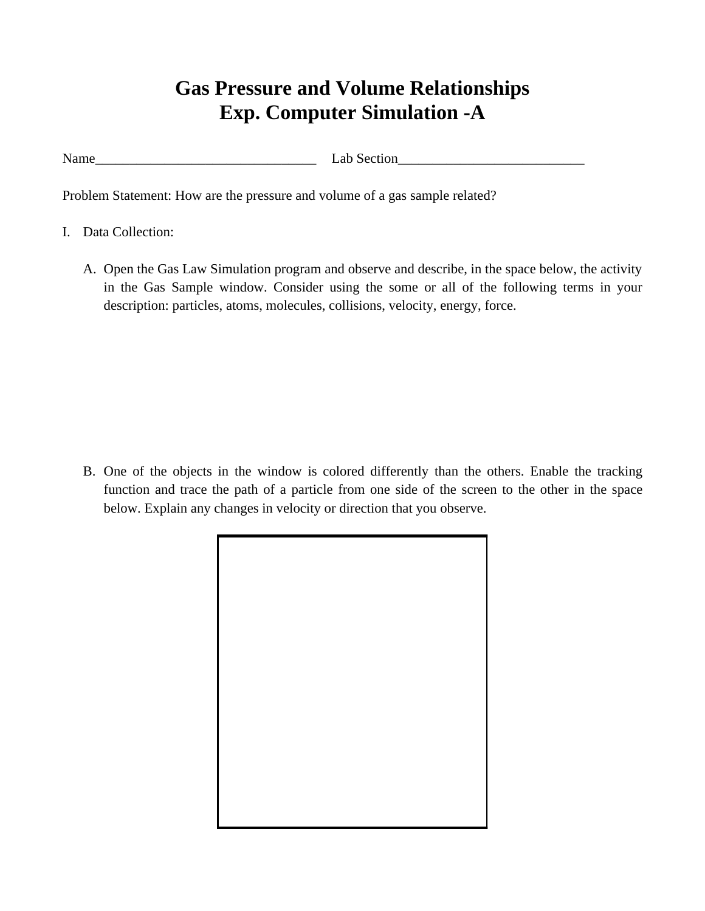## **Gas Pressure and Volume Relationships Exp. Computer Simulation -A**

Name\_\_\_\_\_\_\_\_\_\_\_\_\_\_\_\_\_\_\_\_\_\_\_\_\_\_\_\_\_\_\_\_ Lab Section\_\_\_\_\_\_\_\_\_\_\_\_\_\_\_\_\_\_\_\_\_\_\_\_\_\_\_

Problem Statement: How are the pressure and volume of a gas sample related?

- I. Data Collection:
	- A. Open the Gas Law Simulation program and observe and describe, in the space below, the activity in the Gas Sample window. Consider using the some or all of the following terms in your description: particles, atoms, molecules, collisions, velocity, energy, force.

B. One of the objects in the window is colored differently than the others. Enable the tracking function and trace the path of a particle from one side of the screen to the other in the space below. Explain any changes in velocity or direction that you observe.

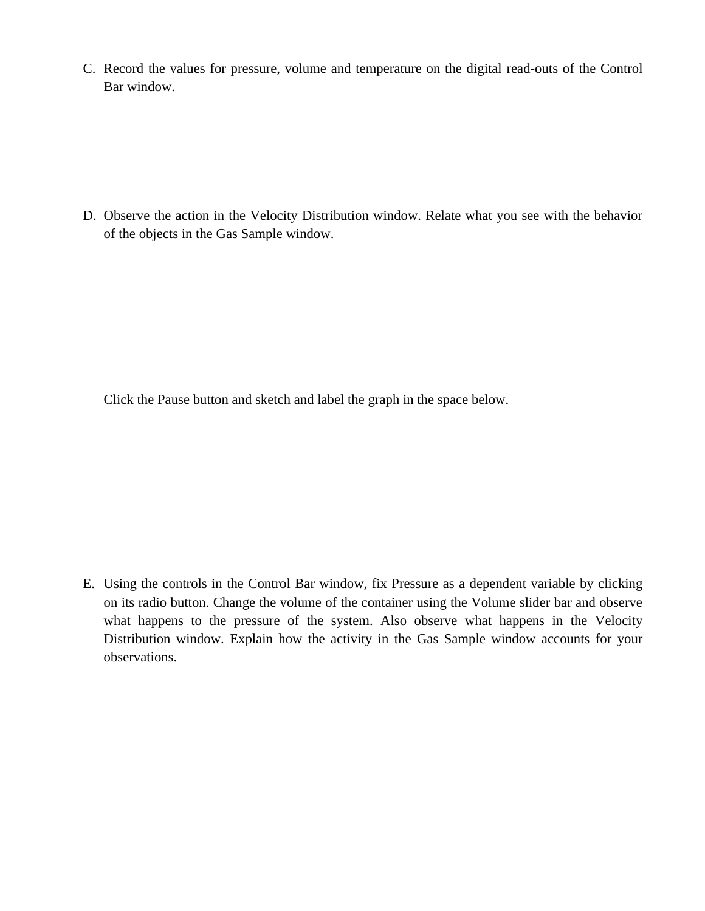C. Record the values for pressure, volume and temperature on the digital read-outs of the Control Bar window.

D. Observe the action in the Velocity Distribution window. Relate what you see with the behavior of the objects in the Gas Sample window.

Click the Pause button and sketch and label the graph in the space below.

E. Using the controls in the Control Bar window, fix Pressure as a dependent variable by clicking on its radio button. Change the volume of the container using the Volume slider bar and observe what happens to the pressure of the system. Also observe what happens in the Velocity Distribution window. Explain how the activity in the Gas Sample window accounts for your observations.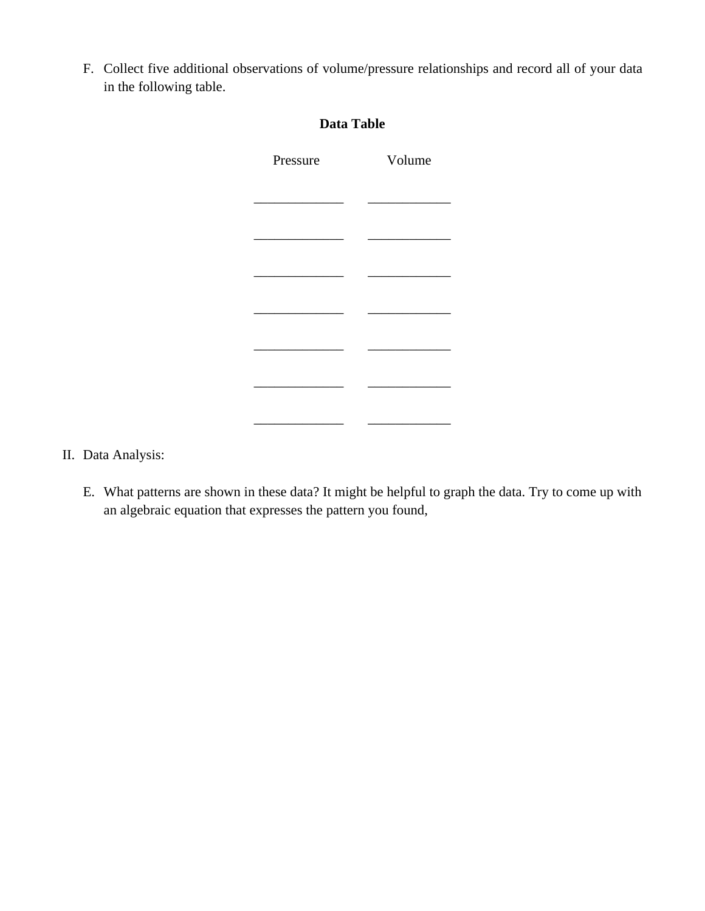F. Collect five additional observations of volume/pressure relationships and record all of your data in the following table.

| <b>Data Table</b> |        |
|-------------------|--------|
| Pressure          | Volume |
|                   |        |
|                   |        |
|                   |        |
|                   |        |
|                   |        |
|                   |        |
|                   |        |
|                   |        |
|                   |        |

- II. Data Analysis:
	- E. What patterns are shown in these data? It might be helpful to graph the data. Try to come up with an algebraic equation that expresses the pattern you found,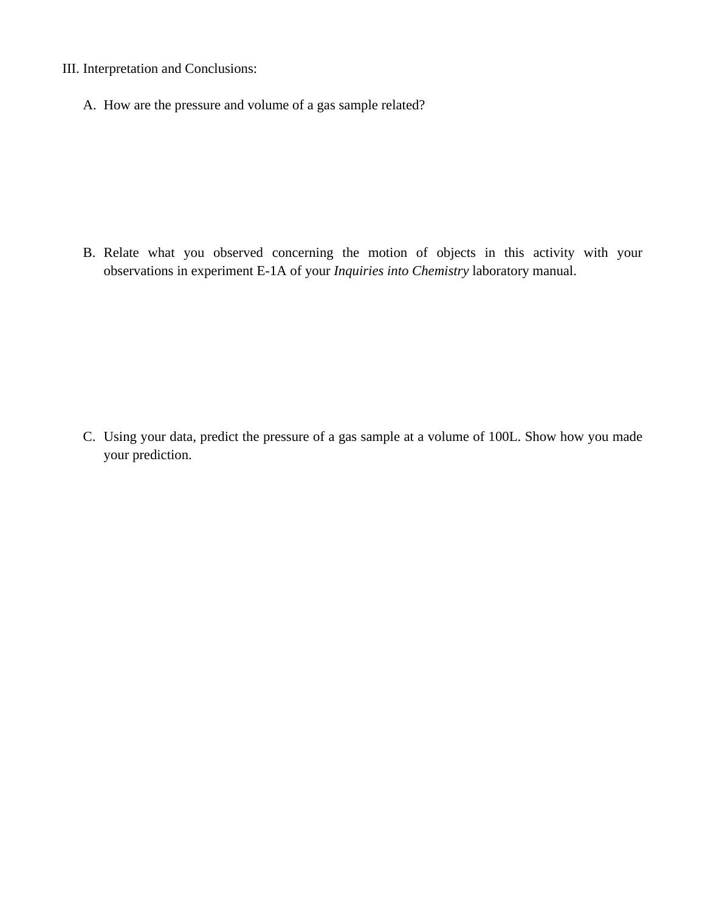- III. Interpretation and Conclusions:
	- A. How are the pressure and volume of a gas sample related?

B. Relate what you observed concerning the motion of objects in this activity with your observations in experiment E-1A of your *Inquiries into Chemistry* laboratory manual.

C. Using your data, predict the pressure of a gas sample at a volume of 100L. Show how you made your prediction.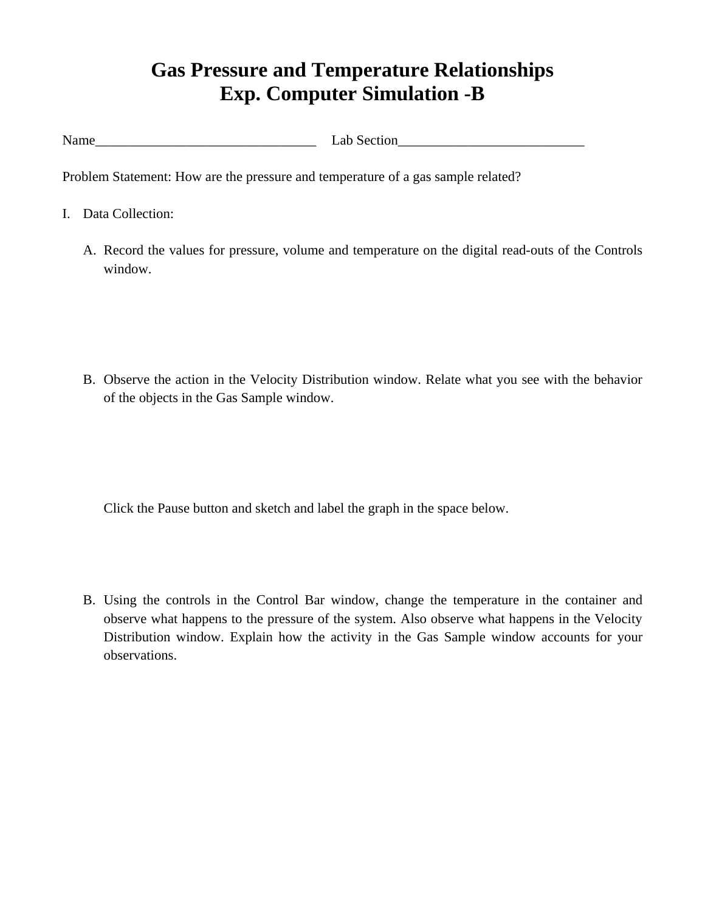## **Gas Pressure and Temperature Relationships Exp. Computer Simulation -B**

Name Lab Section

Problem Statement: How are the pressure and temperature of a gas sample related?

- I. Data Collection:
	- A. Record the values for pressure, volume and temperature on the digital read-outs of the Controls window.

B. Observe the action in the Velocity Distribution window. Relate what you see with the behavior of the objects in the Gas Sample window.

Click the Pause button and sketch and label the graph in the space below.

B. Using the controls in the Control Bar window, change the temperature in the container and observe what happens to the pressure of the system. Also observe what happens in the Velocity Distribution window. Explain how the activity in the Gas Sample window accounts for your observations.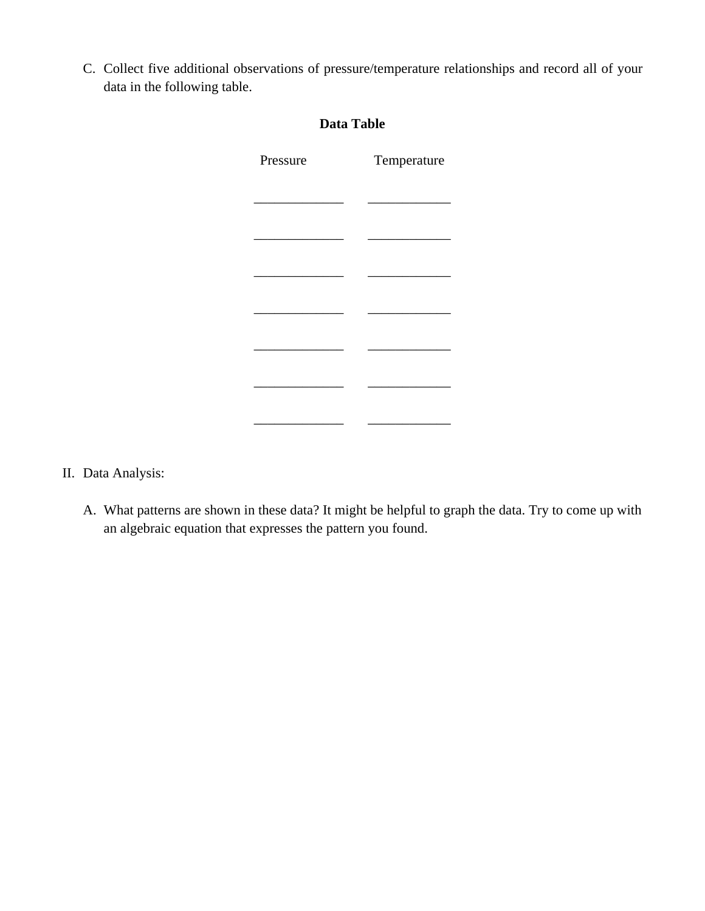C. Collect five additional observations of pressure/temperature relationships and record all of your data in the following table.

| <b>Data Table</b> |             |
|-------------------|-------------|
| Pressure          | Temperature |
|                   |             |
|                   |             |
|                   |             |
|                   |             |
|                   |             |
|                   |             |
|                   |             |
|                   |             |
|                   |             |

- II. Data Analysis:
	- A. What patterns are shown in these data? It might be helpful to graph the data. Try to come up with an algebraic equation that expresses the pattern you found.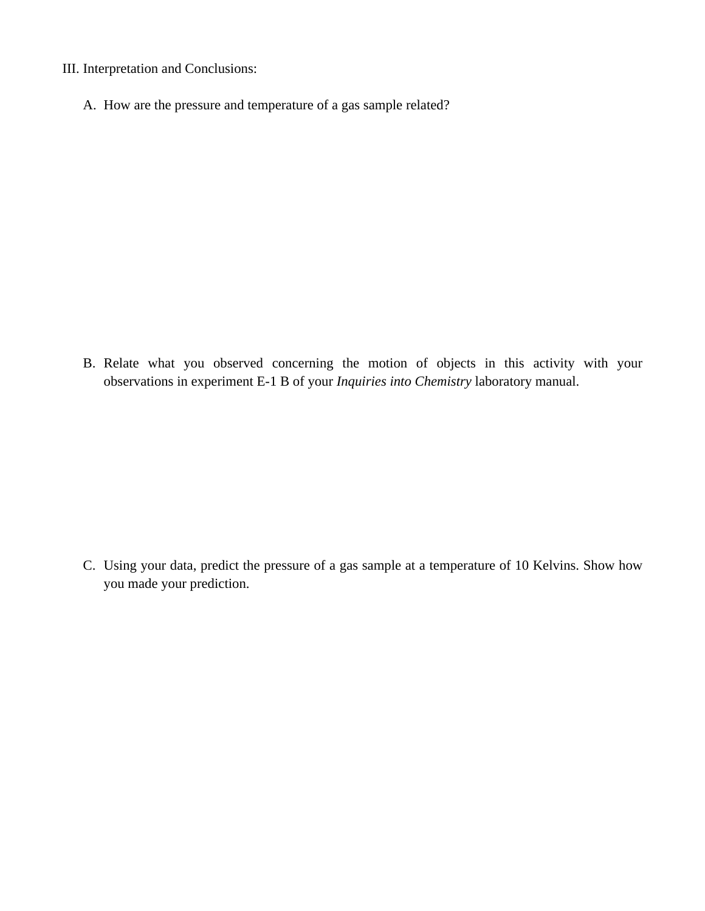- III. Interpretation and Conclusions:
	- A. How are the pressure and temperature of a gas sample related?

B. Relate what you observed concerning the motion of objects in this activity with your observations in experiment E-1 B of your *Inquiries into Chemistry* laboratory manual.

C. Using your data, predict the pressure of a gas sample at a temperature of 10 Kelvins. Show how you made your prediction.